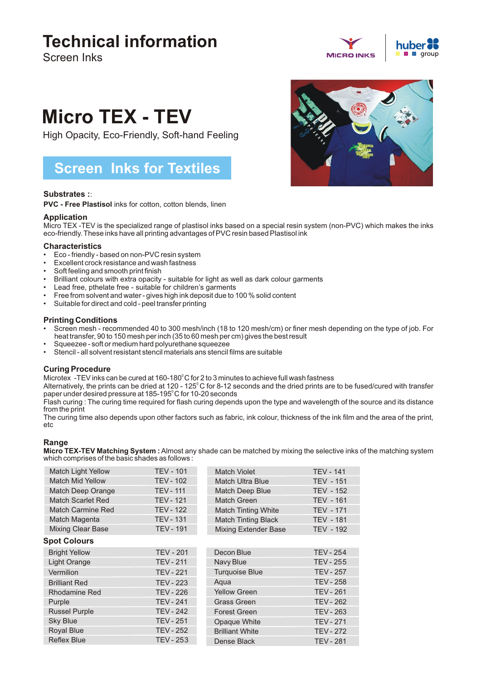## **Technical information**

Screen Inks

# **MICRO INKS**



## **Micro TEX - TEV**

High Opacity, Eco-Friendly, Soft-hand Feeling

### **Screen Inks for Textiles**

#### **Substrates :**:

**PVC - Free Plastisol** inks for cotton, cotton blends, linen

#### **Application**

Micro TEX -TEV is the specialized range of plastisol inks based on a special resin system (non-PVC) which makes the inks eco-friendly. These inks have all printing advantages of PVC resin based Plastisol ink

#### **Characteristics**

- Eco friendly based on non-PVC resin system
- Excellent crock resistance and wash fastness
- Soft feeling and smooth print finish
- Brilliant colours with extra opacity suitable for light as well as dark colour garments
- Lead free, pthelate free suitable for children's garments
- Free from solvent and water gives high ink deposit due to 100 % solid content
- Suitable for direct and cold peel transfer printing

#### **Printing Conditions**

- Screen mesh recommended 40 to 300 mesh/inch (18 to 120 mesh/cm) or finer mesh depending on the type of job. For heat transfer, 90 to 150 mesh per inch (35 to 60 mesh per cm) gives the best result
- Squeezee soft or medium hard polyurethane squeezee
- Stencil all solvent resistant stencil materials ans stencil films are suitable

#### **Curing Procedure**

Microtex -TEV inks can be cured at 160-180 $\degree$ C for 2 to 3 minutes to achieve full wash fastness

Alternatively, the prints can be dried at 120 - 125°C for 8-12 seconds and the dried prints are to be fused/cured with transfer paper under desired pressure at 185-195°C for 10-20 seconds

Flash curing : The curing time required for flash curing depends upon the type and wavelength of the source and its distance from the print

The curing time also depends upon other factors such as fabric, ink colour, thickness of the ink film and the area of the print, etc

#### **Range**

**Micro TEX-TEV Matching System :**Almost any shade can be matched by mixing the selective inks of the matching system which comprises of the basic shades as follows :

| <b>Match Light Yellow</b> | <b>TEV - 101</b> | Match Violet                | <b>TEV - 141</b> |
|---------------------------|------------------|-----------------------------|------------------|
| <b>Match Mid Yellow</b>   | <b>TEV - 102</b> | Match Ultra Blue            | <b>TEV - 151</b> |
| Match Deep Orange         | <b>TEV - 111</b> | <b>Match Deep Blue</b>      | <b>TEV - 152</b> |
| Match Scarlet Red         | <b>TEV - 121</b> | <b>Match Green</b>          | <b>TEV - 161</b> |
| <b>Match Carmine Red</b>  | <b>TEV - 122</b> | <b>Match Tinting White</b>  | <b>TEV - 171</b> |
| Match Magenta             | <b>TEV - 131</b> | <b>Match Tinting Black</b>  | <b>TEV - 181</b> |
| <b>Mixing Clear Base</b>  | <b>TEV - 191</b> | <b>Mixing Extender Base</b> | <b>TEV - 192</b> |
| <b>Spot Colours</b>       |                  |                             |                  |
| <b>Bright Yellow</b>      | <b>TEV - 201</b> | Decon Blue                  | <b>TEV - 254</b> |
| Light Orange              | <b>TEV - 211</b> | Navy Blue                   | <b>TEV - 255</b> |
| Vermilion                 | <b>TEV - 221</b> | <b>Turquoise Blue</b>       | <b>TEV - 257</b> |
| <b>Brilliant Red</b>      | <b>TEV - 223</b> | Aqua                        | <b>TEV - 258</b> |
| <b>Rhodamine Red</b>      | <b>TEV - 226</b> | <b>Yellow Green</b>         | <b>TEV - 261</b> |
| Purple                    | <b>TEV - 241</b> | <b>Grass Green</b>          | <b>TEV - 262</b> |
| <b>Russel Purple</b>      | <b>TEV - 242</b> | <b>Forest Green</b>         | <b>TEV - 263</b> |
| <b>Sky Blue</b>           | <b>TEV - 251</b> | Opaque White                | <b>TEV - 271</b> |
| <b>Royal Blue</b>         | <b>TEV - 252</b> | <b>Brilliant White</b>      | <b>TEV - 272</b> |
| <b>Reflex Blue</b>        | <b>TEV - 253</b> | Dense Black                 | <b>TEV - 281</b> |